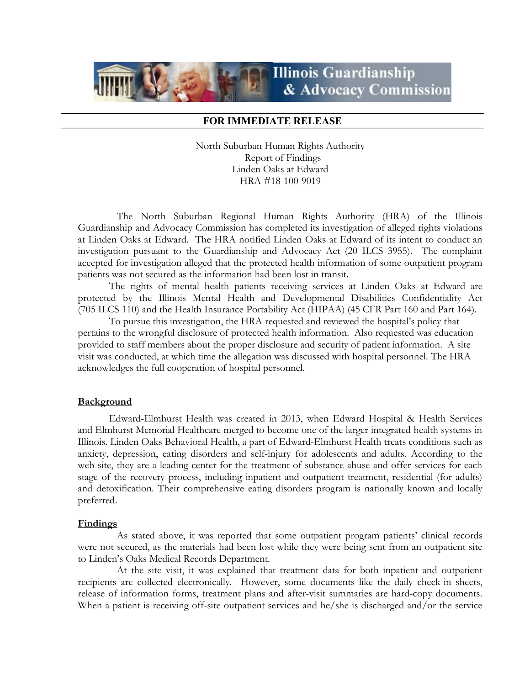# **Illinois Guardianship** & Advocacy Commission

## FOR IMMEDIATE RELEASE

North Suburban Human Rights Authority Report of Findings Linden Oaks at Edward HRA #18-100-9019

 The North Suburban Regional Human Rights Authority (HRA) of the Illinois Guardianship and Advocacy Commission has completed its investigation of alleged rights violations at Linden Oaks at Edward. The HRA notified Linden Oaks at Edward of its intent to conduct an investigation pursuant to the Guardianship and Advocacy Act (20 ILCS 3955). The complaint accepted for investigation alleged that the protected health information of some outpatient program patients was not secured as the information had been lost in transit.

The rights of mental health patients receiving services at Linden Oaks at Edward are protected by the Illinois Mental Health and Developmental Disabilities Confidentiality Act (705 ILCS 110) and the Health Insurance Portability Act (HIPAA) (45 CFR Part 160 and Part 164).

To pursue this investigation, the HRA requested and reviewed the hospital's policy that pertains to the wrongful disclosure of protected health information. Also requested was education provided to staff members about the proper disclosure and security of patient information. A site visit was conducted, at which time the allegation was discussed with hospital personnel. The HRA acknowledges the full cooperation of hospital personnel.

### **Background**

Edward-Elmhurst Health was created in 2013, when Edward Hospital & Health Services and Elmhurst Memorial Healthcare merged to become one of the larger integrated health systems in Illinois. Linden Oaks Behavioral Health, a part of Edward-Elmhurst Health treats conditions such as anxiety, depression, eating disorders and self-injury for adolescents and adults. According to the web-site, they are a leading center for the treatment of substance abuse and offer services for each stage of the recovery process, including inpatient and outpatient treatment, residential (for adults) and detoxification. Their comprehensive eating disorders program is nationally known and locally preferred.

#### **Findings**

 As stated above, it was reported that some outpatient program patients' clinical records were not secured, as the materials had been lost while they were being sent from an outpatient site to Linden's Oaks Medical Records Department.

 At the site visit, it was explained that treatment data for both inpatient and outpatient recipients are collected electronically. However, some documents like the daily check-in sheets, release of information forms, treatment plans and after-visit summaries are hard-copy documents. When a patient is receiving off-site outpatient services and he/she is discharged and/or the service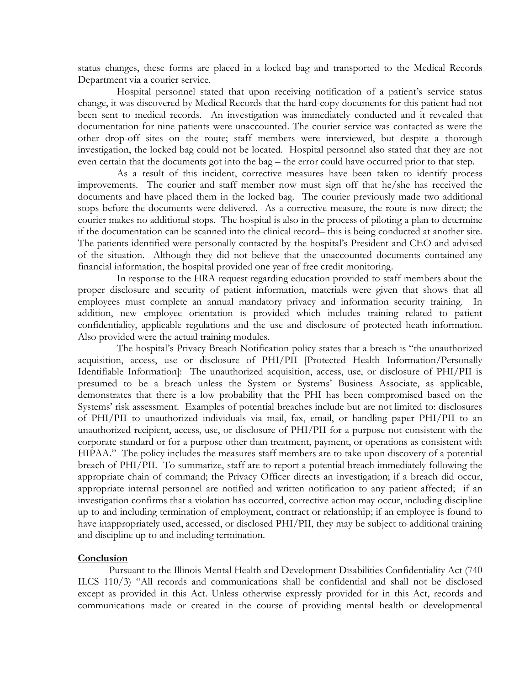status changes, these forms are placed in a locked bag and transported to the Medical Records Department via a courier service.

 Hospital personnel stated that upon receiving notification of a patient's service status change, it was discovered by Medical Records that the hard-copy documents for this patient had not been sent to medical records. An investigation was immediately conducted and it revealed that documentation for nine patients were unaccounted. The courier service was contacted as were the other drop-off sites on the route; staff members were interviewed, but despite a thorough investigation, the locked bag could not be located. Hospital personnel also stated that they are not even certain that the documents got into the bag – the error could have occurred prior to that step.

 As a result of this incident, corrective measures have been taken to identify process improvements. The courier and staff member now must sign off that he/she has received the documents and have placed them in the locked bag. The courier previously made two additional stops before the documents were delivered. As a corrective measure, the route is now direct; the courier makes no additional stops. The hospital is also in the process of piloting a plan to determine if the documentation can be scanned into the clinical record– this is being conducted at another site. The patients identified were personally contacted by the hospital's President and CEO and advised of the situation. Although they did not believe that the unaccounted documents contained any financial information, the hospital provided one year of free credit monitoring.

 In response to the HRA request regarding education provided to staff members about the proper disclosure and security of patient information, materials were given that shows that all employees must complete an annual mandatory privacy and information security training. In addition, new employee orientation is provided which includes training related to patient confidentiality, applicable regulations and the use and disclosure of protected heath information. Also provided were the actual training modules.

 The hospital's Privacy Breach Notification policy states that a breach is "the unauthorized acquisition, access, use or disclosure of PHI/PII [Protected Health Information/Personally Identifiable Information]: The unauthorized acquisition, access, use, or disclosure of PHI/PII is presumed to be a breach unless the System or Systems' Business Associate, as applicable, demonstrates that there is a low probability that the PHI has been compromised based on the Systems' risk assessment. Examples of potential breaches include but are not limited to: disclosures of PHI/PII to unauthorized individuals via mail, fax, email, or handling paper PHI/PII to an unauthorized recipient, access, use, or disclosure of PHI/PII for a purpose not consistent with the corporate standard or for a purpose other than treatment, payment, or operations as consistent with HIPAA." The policy includes the measures staff members are to take upon discovery of a potential breach of PHI/PII. To summarize, staff are to report a potential breach immediately following the appropriate chain of command; the Privacy Officer directs an investigation; if a breach did occur, appropriate internal personnel are notified and written notification to any patient affected; if an investigation confirms that a violation has occurred, corrective action may occur, including discipline up to and including termination of employment, contract or relationship; if an employee is found to have inappropriately used, accessed, or disclosed PHI/PII, they may be subject to additional training and discipline up to and including termination.

### **Conclusion**

Pursuant to the Illinois Mental Health and Development Disabilities Confidentiality Act (740 ILCS 110/3) "All records and communications shall be confidential and shall not be disclosed except as provided in this Act. Unless otherwise expressly provided for in this Act, records and communications made or created in the course of providing mental health or developmental